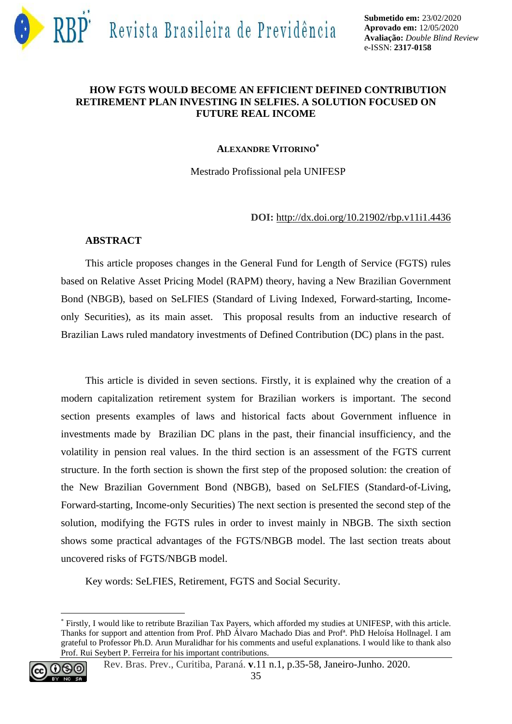

## **HOW FGTS WOULD BECOME AN EFFICIENT DEFINED CONTRIBUTION RETIREMENT PLAN INVESTING IN SELFIES. A SOLUTION FOCUSED ON FUTURE REAL INCOME**

### **ALEXANDRE VITORINO\***

Mestrado Profissional pela UNIFESP

### **DOI:** <http://dx.doi.org/10.21902/rbp.v11i1.4436>

## **ABSTRACT**

This article proposes changes in the General Fund for Length of Service (FGTS) rules based on Relative Asset Pricing Model (RAPM) theory, having a New Brazilian Government Bond (NBGB), based on SeLFIES (Standard of Living Indexed, Forward-starting, Incomeonly Securities), as its main asset. This proposal results from an inductive research of Brazilian Laws ruled mandatory investments of Defined Contribution (DC) plans in the past.

This article is divided in seven sections. Firstly, it is explained why the creation of a modern capitalization retirement system for Brazilian workers is important. The second section presents examples of laws and historical facts about Government influence in investments made by Brazilian DC plans in the past, their financial insufficiency, and the volatility in pension real values. In the third section is an assessment of the FGTS current structure. In the forth section is shown the first step of the proposed solution: the creation of the New Brazilian Government Bond (NBGB), based on SeLFIES (Standard-of-Living, Forward-starting, Income-only Securities) The next section is presented the second step of the solution, modifying the FGTS rules in order to invest mainly in NBGB. The sixth section shows some practical advantages of the FGTS/NBGB model. The last section treats about uncovered risks of FGTS/NBGB model.

Key words: SeLFIES, Retirement, FGTS and Social Security.

<sup>\*</sup> Firstly, I would like to retribute Brazilian Tax Payers, which afforded my studies at UNIFESP, with this article. Thanks for support and attention from Prof. PhD Álvaro Machado Dias and Profª. PhD Heloísa Hollnagel. I am grateful to Professor Ph.D. Arun Muralidhar for his comments and useful explanations. I would like to thank also Prof. Rui Seybert P. Ferreira for his important contributions.

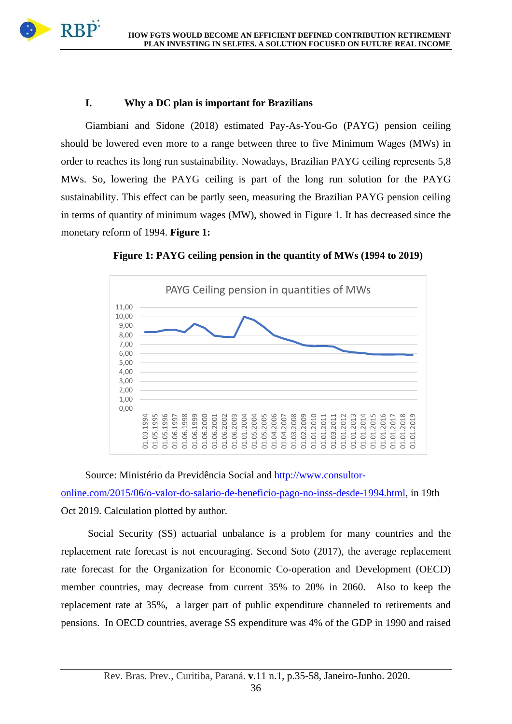

## **I. Why a DC plan is important for Brazilians**

**RBP** 

Giambiani and Sidone (2018) estimated Pay-As-You-Go (PAYG) pension ceiling should be lowered even more to a range between three to five Minimum Wages (MWs) in order to reaches its long run sustainability. Nowadays, Brazilian PAYG ceiling represents 5,8 MWs. So, lowering the PAYG ceiling is part of the long run solution for the PAYG sustainability. This effect can be partly seen, measuring the Brazilian PAYG pension ceiling in terms of quantity of minimum wages (MW), showed in Figure 1. It has decreased since the monetary reform of 1994. **Figure 1:** 



**Figure 1: PAYG ceiling pension in the quantity of MWs (1994 to 2019)**

Source: Ministério da Previdência Social and [http://www.consultor-](http://www.consultor-online.com/2015/06/o-valor-do-salario-de-beneficio-pago-no-inss-desde-1994.html)

[online.com/2015/06/o-valor-do-salario-de-beneficio-pago-no-inss-desde-1994.html,](http://www.consultor-online.com/2015/06/o-valor-do-salario-de-beneficio-pago-no-inss-desde-1994.html) in 19th Oct 2019. Calculation plotted by author.

Social Security (SS) actuarial unbalance is a problem for many countries and the replacement rate forecast is not encouraging. Second Soto (2017), the average replacement rate forecast for the Organization for Economic Co-operation and Development (OECD) member countries, may decrease from current 35% to 20% in 2060. Also to keep the replacement rate at 35%, a larger part of public expenditure channeled to retirements and pensions. In OECD countries, average SS expenditure was 4% of the GDP in 1990 and raised

36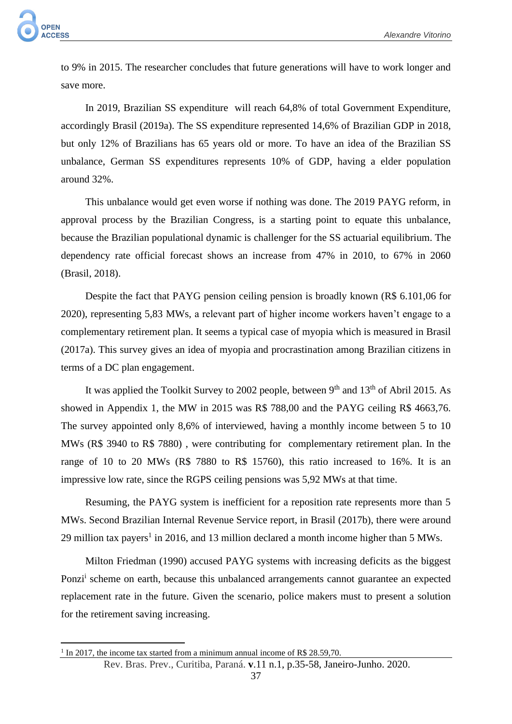to 9% in 2015. The researcher concludes that future generations will have to work longer and save more.

In 2019, Brazilian SS expenditure will reach 64,8% of total Government Expenditure, accordingly Brasil (2019a). The SS expenditure represented 14,6% of Brazilian GDP in 2018, but only 12% of Brazilians has 65 years old or more. To have an idea of the Brazilian SS unbalance, German SS expenditures represents 10% of GDP, having a elder population around 32%.

This unbalance would get even worse if nothing was done. The 2019 PAYG reform, in approval process by the Brazilian Congress, is a starting point to equate this unbalance, because the Brazilian populational dynamic is challenger for the SS actuarial equilibrium. The dependency rate official forecast shows an increase from 47% in 2010, to 67% in 2060 (Brasil, 2018).

Despite the fact that PAYG pension ceiling pension is broadly known (R\$ 6.101,06 for 2020), representing 5,83 MWs, a relevant part of higher income workers haven't engage to a complementary retirement plan. It seems a typical case of myopia which is measured in Brasil (2017a). This survey gives an idea of myopia and procrastination among Brazilian citizens in terms of a DC plan engagement.

It was applied the Toolkit Survey to 2002 people, between  $9<sup>th</sup>$  and  $13<sup>th</sup>$  of Abril 2015. As showed in Appendix 1, the MW in 2015 was R\$ 788,00 and the PAYG ceiling R\$ 4663,76. The survey appointed only 8,6% of interviewed, having a monthly income between 5 to 10 MWs (R\$ 3940 to R\$ 7880) , were contributing for complementary retirement plan. In the range of 10 to 20 MWs (R\$ 7880 to R\$ 15760), this ratio increased to 16%. It is an impressive low rate, since the RGPS ceiling pensions was 5,92 MWs at that time.

Resuming, the PAYG system is inefficient for a reposition rate represents more than 5 MWs. Second Brazilian Internal Revenue Service report, in Brasil (2017b), there were around 29 million tax payers<sup>1</sup> in 2016, and 13 million declared a month income higher than 5 MWs.

Milton Friedman (1990) accused PAYG systems with increasing deficits as the biggest Ponzi<sup>i</sup> scheme on earth, because this unbalanced arrangements cannot guarantee an expected replacement rate in the future. Given the scenario, police makers must to present a solution for the retirement saving increasing.

<sup>&</sup>lt;sup>1</sup> In 2017, the income tax started from a minimum annual income of R\$ 28.59,70.

Rev. Bras. Prev., Curitiba, Paraná. **v**.11 n.1, p.35-58, Janeiro-Junho. 2020.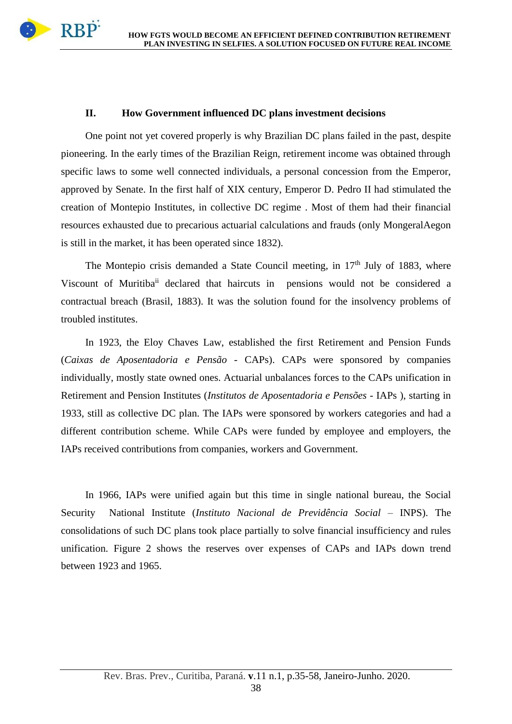

## **II. How Government influenced DC plans investment decisions**

One point not yet covered properly is why Brazilian DC plans failed in the past, despite pioneering. In the early times of the Brazilian Reign, retirement income was obtained through specific laws to some well connected individuals, a personal concession from the Emperor, approved by Senate. In the first half of XIX century, Emperor D. Pedro II had stimulated the creation of Montepio Institutes, in collective DC regime . Most of them had their financial resources exhausted due to precarious actuarial calculations and frauds (only MongeralAegon is still in the market, it has been operated since 1832).

The Montepio crisis demanded a State Council meeting, in 17<sup>th</sup> July of 1883, where Viscount of Muritiba<sup>ii</sup> declared that haircuts in pensions would not be considered a contractual breach (Brasil, 1883). It was the solution found for the insolvency problems of troubled institutes.

In 1923, the Eloy Chaves Law, established the first Retirement and Pension Funds (*Caixas de Aposentadoria e Pensão* - CAPs). CAPs were sponsored by companies individually, mostly state owned ones. Actuarial unbalances forces to the CAPs unification in Retirement and Pension Institutes (*Institutos de Aposentadoria e Pensões* - IAPs ), starting in 1933, still as collective DC plan. The IAPs were sponsored by workers categories and had a different contribution scheme. While CAPs were funded by employee and employers, the IAPs received contributions from companies, workers and Government.

In 1966, IAPs were unified again but this time in single national bureau, the Social Security National Institute (*Instituto Nacional de Previdência Social* – INPS). The consolidations of such DC plans took place partially to solve financial insufficiency and rules unification. Figure 2 shows the reserves over expenses of CAPs and IAPs down trend between 1923 and 1965.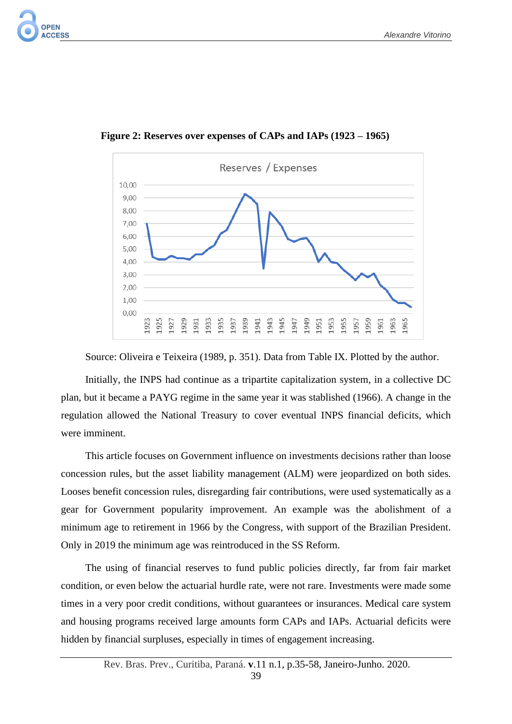

 **Figure 2: Reserves over expenses of CAPs and IAPs (1923 – 1965)**

Source: Oliveira e Teixeira (1989, p. 351). Data from Table IX. Plotted by the author.

Initially, the INPS had continue as a tripartite capitalization system, in a collective DC plan, but it became a PAYG regime in the same year it was stablished (1966). A change in the regulation allowed the National Treasury to cover eventual INPS financial deficits, which were imminent.

This article focuses on Government influence on investments decisions rather than loose concession rules, but the asset liability management (ALM) were jeopardized on both sides. Looses benefit concession rules, disregarding fair contributions, were used systematically as a gear for Government popularity improvement. An example was the abolishment of a minimum age to retirement in 1966 by the Congress, with support of the Brazilian President. Only in 2019 the minimum age was reintroduced in the SS Reform.

The using of financial reserves to fund public policies directly, far from fair market condition, or even below the actuarial hurdle rate, were not rare. Investments were made some times in a very poor credit conditions, without guarantees or insurances. Medical care system and housing programs received large amounts form CAPs and IAPs. Actuarial deficits were hidden by financial surpluses, especially in times of engagement increasing.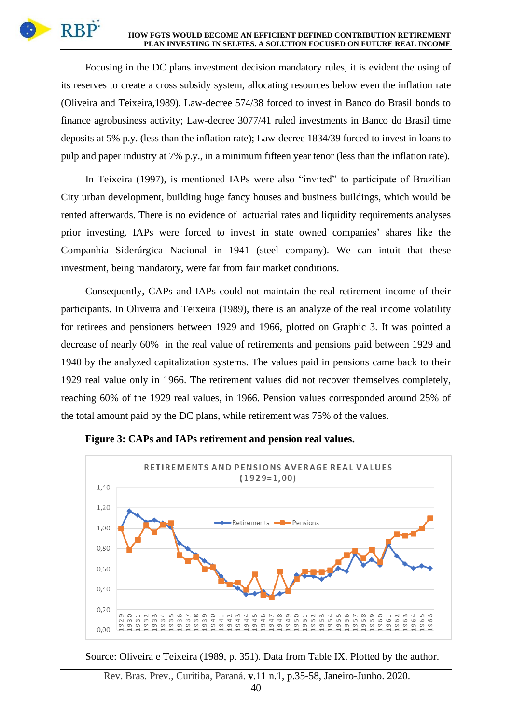### **HOW FGTS WOULD BECOME AN EFFICIENT DEFINED CONTRIBUTION RETIREMENT PLAN INVESTING IN SELFIES. A SOLUTION FOCUSED ON FUTURE REAL INCOME**

Focusing in the DC plans investment decision mandatory rules, it is evident the using of its reserves to create a cross subsidy system, allocating resources below even the inflation rate (Oliveira and Teixeira,1989). Law-decree 574/38 forced to invest in Banco do Brasil bonds to finance agrobusiness activity; Law-decree 3077/41 ruled investments in Banco do Brasil time deposits at 5% p.y. (less than the inflation rate); Law-decree 1834/39 forced to invest in loans to pulp and paper industry at 7% p.y., in a minimum fifteen year tenor (less than the inflation rate).

In Teixeira (1997), is mentioned IAPs were also "invited" to participate of Brazilian City urban development, building huge fancy houses and business buildings, which would be rented afterwards. There is no evidence of actuarial rates and liquidity requirements analyses prior investing. IAPs were forced to invest in state owned companies' shares like the Companhia Siderúrgica Nacional in 1941 (steel company). We can intuit that these investment, being mandatory, were far from fair market conditions.

Consequently, CAPs and IAPs could not maintain the real retirement income of their participants. In Oliveira and Teixeira (1989), there is an analyze of the real income volatility for retirees and pensioners between 1929 and 1966, plotted on Graphic 3. It was pointed a decrease of nearly 60% in the real value of retirements and pensions paid between 1929 and 1940 by the analyzed capitalization systems. The values paid in pensions came back to their 1929 real value only in 1966. The retirement values did not recover themselves completely, reaching 60% of the 1929 real values, in 1966. Pension values corresponded around 25% of the total amount paid by the DC plans, while retirement was 75% of the values.



**Figure 3: CAPs and IAPs retirement and pension real values.**

Source: Oliveira e Teixeira (1989, p. 351). Data from Table IX. Plotted by the author.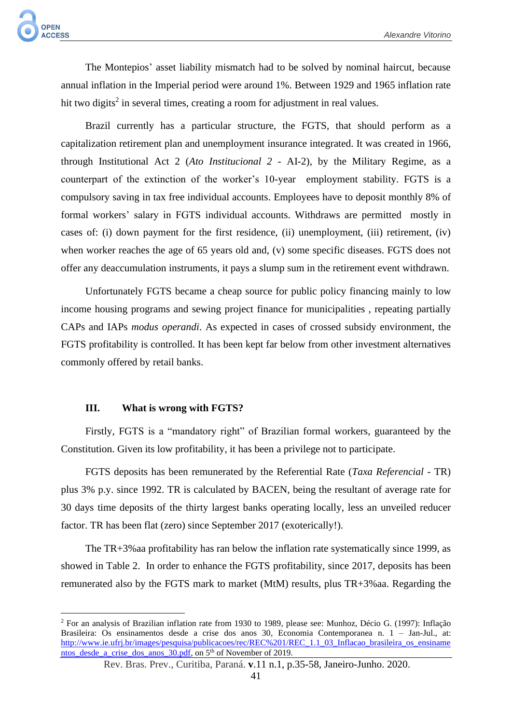The Montepios' asset liability mismatch had to be solved by nominal haircut, because annual inflation in the Imperial period were around 1%. Between 1929 and 1965 inflation rate hit two digits<sup>2</sup> in several times, creating a room for adjustment in real values.

Brazil currently has a particular structure, the FGTS, that should perform as a capitalization retirement plan and unemployment insurance integrated. It was created in 1966, through Institutional Act 2 (*Ato Institucional 2* - AI-2), by the Military Regime, as a counterpart of the extinction of the worker's 10-year employment stability. FGTS is a compulsory saving in tax free individual accounts. Employees have to deposit monthly 8% of formal workers' salary in FGTS individual accounts. Withdraws are permitted mostly in cases of: (i) down payment for the first residence, (ii) unemployment, (iii) retirement, (iv) when worker reaches the age of 65 years old and, (v) some specific diseases. FGTS does not offer any deaccumulation instruments, it pays a slump sum in the retirement event withdrawn.

Unfortunately FGTS became a cheap source for public policy financing mainly to low income housing programs and sewing project finance for municipalities , repeating partially CAPs and IAPs *modus operandi*. As expected in cases of crossed subsidy environment, the FGTS profitability is controlled. It has been kept far below from other investment alternatives commonly offered by retail banks.

## **III. What is wrong with FGTS?**

Firstly, FGTS is a "mandatory right" of Brazilian formal workers, guaranteed by the Constitution. Given its low profitability, it has been a privilege not to participate.

FGTS deposits has been remunerated by the Referential Rate (*Taxa Referencial* - TR) plus 3% p.y. since 1992. TR is calculated by BACEN, being the resultant of average rate for 30 days time deposits of the thirty largest banks operating locally, less an unveiled reducer factor. TR has been flat (zero) since September 2017 (exoterically!).

The TR+3%aa profitability has ran below the inflation rate systematically since 1999, as showed in Table 2. In order to enhance the FGTS profitability, since 2017, deposits has been remunerated also by the FGTS mark to market (MtM) results, plus TR+3%aa. Regarding the

<sup>2</sup> For an analysis of Brazilian inflation rate from 1930 to 1989, please see: Munhoz, Décio G. (1997): Inflação Brasileira: Os ensinamentos desde a crise dos anos 30, Economia Contemporanea n. 1 – Jan-Jul., at: [http://www.ie.ufrj.br/images/pesquisa/publicacoes/rec/REC%201/REC\\_1.1\\_03\\_Inflacao\\_brasileira\\_os\\_ensiname](http://www.ie.ufrj.br/images/pesquisa/publicacoes/rec/REC%201/REC_1.1_03_Inflacao_brasileira_os_ensinamentos_desde_a_crise_dos_anos_30.pdf) [ntos\\_desde\\_a\\_crise\\_dos\\_anos\\_30.pdf,](http://www.ie.ufrj.br/images/pesquisa/publicacoes/rec/REC%201/REC_1.1_03_Inflacao_brasileira_os_ensinamentos_desde_a_crise_dos_anos_30.pdf) on 5th of November of 2019.

Rev. Bras. Prev., Curitiba, Paraná. **v**.11 n.1, p.35-58, Janeiro-Junho. 2020.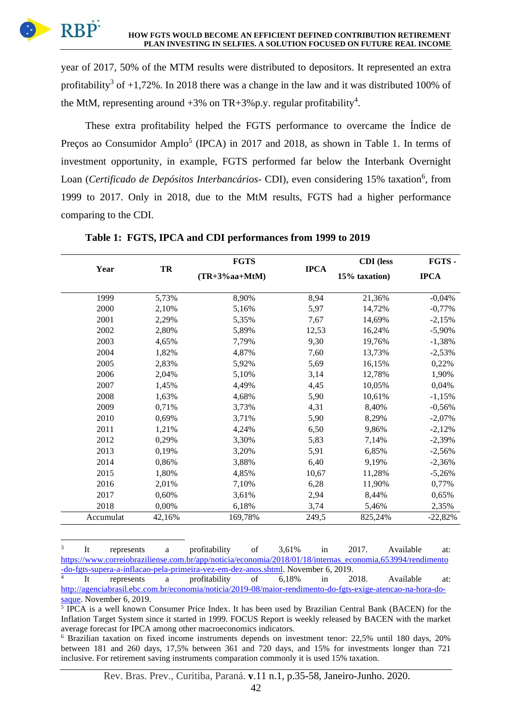

year of 2017, 50% of the MTM results were distributed to depositors. It represented an extra profitability<sup>3</sup> of  $+1,72\%$ . In 2018 there was a change in the law and it was distributed 100% of the MtM, representing around  $+3\%$  on TR $+3\%$  p.y. regular profitability<sup>4</sup>.

These extra profitability helped the FGTS performance to overcame the Índice de Preços ao Consumidor Amplo<sup>5</sup> (IPCA) in 2017 and 2018, as shown in Table 1. In terms of investment opportunity, in example, FGTS performed far below the Interbank Overnight Loan (Certificado de Depósitos Interbancários- CDI), even considering 15% taxation<sup>6</sup>, from 1999 to 2017. Only in 2018, due to the MtM results, FGTS had a higher performance comparing to the CDI.

|           |        | <b>FGTS</b>      |             | <b>CDI</b> (less | FGTS-       |
|-----------|--------|------------------|-------------|------------------|-------------|
| Year      | TR     | $(TR+3\%aa+MtM)$ | <b>IPCA</b> | 15% taxation)    | <b>IPCA</b> |
| 1999      | 5,73%  | 8,90%            | 8,94        | 21,36%           | $-0,04%$    |
| 2000      | 2,10%  | 5,16%            | 5,97        | 14,72%           | $-0,77%$    |
| 2001      | 2,29%  | 5,35%            | 7,67        | 14,69%           | $-2,15%$    |
| 2002      | 2,80%  | 5,89%            | 12,53       | 16,24%           | $-5,90%$    |
| 2003      | 4,65%  | 7,79%            | 9,30        | 19,76%           | $-1,38%$    |
| 2004      | 1,82%  | 4.87%            | 7,60        | 13,73%           | $-2,53%$    |
| 2005      | 2,83%  | 5,92%            | 5,69        | 16,15%           | 0,22%       |
| 2006      | 2,04%  | 5,10%            | 3,14        | 12,78%           | 1,90%       |
| 2007      | 1,45%  | 4,49%            | 4,45        | 10,05%           | 0,04%       |
| 2008      | 1,63%  | 4,68%            | 5,90        | 10,61%           | $-1,15%$    |
| 2009      | 0,71%  | 3,73%            | 4,31        | 8,40%            | $-0,56%$    |
| 2010      | 0,69%  | 3,71%            | 5,90        | 8,29%            | $-2,07%$    |
| 2011      | 1,21%  | 4,24%            | 6,50        | 9,86%            | $-2,12%$    |
| 2012      | 0,29%  | 3,30%            | 5,83        | 7,14%            | $-2,39%$    |
| 2013      | 0,19%  | 3,20%            | 5,91        | 6,85%            | $-2,56%$    |
| 2014      | 0,86%  | 3,88%            | 6,40        | 9,19%            | $-2,36%$    |
| 2015      | 1,80%  | 4,85%            | 10,67       | 11,28%           | $-5,26%$    |
| 2016      | 2,01%  | 7,10%            | 6,28        | 11,90%           | 0,77%       |
| 2017      | 0,60%  | 3,61%            | 2,94        | 8,44%            | 0,65%       |
| 2018      | 0,00%  | 6,18%            | 3,74        | 5,46%            | 2,35%       |
| Accumulat | 42,16% | 169,78%          | 249,5       | 825,24%          | $-22,82%$   |

**Table 1: FGTS, IPCA and CDI performances from 1999 to 2019**

3 It represents a profitability of 3,61% in 2017. Available at: [https://www.correiobraziliense.com.br/app/noticia/economia/2018/01/18/internas\\_economia,653994/rendimento](https://www.correiobraziliense.com.br/app/noticia/economia/2018/01/18/internas_economia,653994/rendimento-do-fgts-supera-a-inflacao-pela-primeira-vez-em-dez-anos.shtml) [-do-fgts-supera-a-inflacao-pela-primeira-vez-em-dez-anos.shtml.](https://www.correiobraziliense.com.br/app/noticia/economia/2018/01/18/internas_economia,653994/rendimento-do-fgts-supera-a-inflacao-pela-primeira-vez-em-dez-anos.shtml) November 6, 2019. 4 It represents a profitability of 6,18% in 2018. Available at: [http://agenciabrasil.ebc.com.br/economia/noticia/2019-08/maior-rendimento-do-fgts-exige-atencao-na-hora-do](http://agenciabrasil.ebc.com.br/economia/noticia/2019-08/maior-rendimento-do-fgts-exige-atencao-na-hora-do-saque)[saque.](http://agenciabrasil.ebc.com.br/economia/noticia/2019-08/maior-rendimento-do-fgts-exige-atencao-na-hora-do-saque) November 6, 2019.

<sup>5</sup> IPCA is a well known Consumer Price Index. It has been used by Brazilian Central Bank (BACEN) for the Inflation Target System since it started in 1999. FOCUS Report is weekly released by BACEN with the market average forecast for IPCA among other macroeconomics indicators.

<sup>6</sup> Brazilian taxation on fixed income instruments depends on investment tenor: 22,5% until 180 days, 20% between 181 and 260 days, 17,5% between 361 and 720 days, and 15% for investments longer than 721 inclusive. For retirement saving instruments comparation commonly it is used 15% taxation.

Rev. Bras. Prev., Curitiba, Paraná. **v**.11 n.1, p.35-58, Janeiro-Junho. 2020.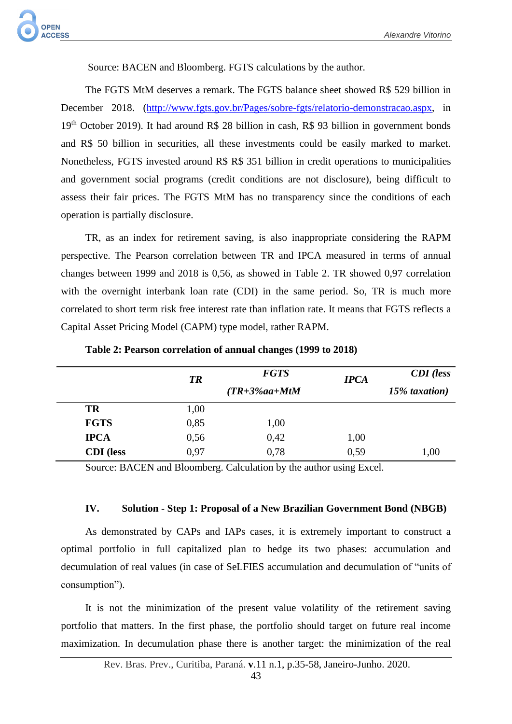Source: BACEN and Bloomberg. FGTS calculations by the author.

The FGTS MtM deserves a remark. The FGTS balance sheet showed R\$ 529 billion in December 2018. [\(http://www.fgts.gov.br/Pages/sobre-fgts/relatorio-demonstracao.aspx,](http://www.fgts.gov.br/Pages/sobre-fgts/relatorio-demonstracao.aspx) in 19th October 2019). It had around R\$ 28 billion in cash, R\$ 93 billion in government bonds and R\$ 50 billion in securities, all these investments could be easily marked to market. Nonetheless, FGTS invested around R\$ R\$ 351 billion in credit operations to municipalities and government social programs (credit conditions are not disclosure), being difficult to assess their fair prices. The FGTS MtM has no transparency since the conditions of each operation is partially disclosure.

TR, as an index for retirement saving, is also inappropriate considering the RAPM perspective. The Pearson correlation between TR and IPCA measured in terms of annual changes between 1999 and 2018 is 0,56, as showed in Table 2. TR showed 0,97 correlation with the overnight interbank loan rate (CDI) in the same period. So, TR is much more correlated to short term risk free interest rate than inflation rate. It means that FGTS reflects a Capital Asset Pricing Model (CAPM) type model, rather RAPM.

|                  | <b>TR</b> | <b>FGTS</b>      | <b>IPCA</b> | <b>CDI</b> (less |
|------------------|-----------|------------------|-------------|------------------|
|                  |           | $(TR+3\%aa+MtM)$ |             | 15% taxation)    |
| <b>TR</b>        | 1,00      |                  |             |                  |
| <b>FGTS</b>      | 0,85      | 1,00             |             |                  |
| <b>IPCA</b>      | 0,56      | 0,42             | 1,00        |                  |
| <b>CDI</b> (less | 0,97      | 0,78             | 0,59        | 1,00             |

**Table 2: Pearson correlation of annual changes (1999 to 2018)**

Source: BACEN and Bloomberg. Calculation by the author using Excel.

### **IV. Solution - Step 1: Proposal of a New Brazilian Government Bond (NBGB)**

As demonstrated by CAPs and IAPs cases, it is extremely important to construct a optimal portfolio in full capitalized plan to hedge its two phases: accumulation and decumulation of real values (in case of SeLFIES accumulation and decumulation of "units of consumption").

It is not the minimization of the present value volatility of the retirement saving portfolio that matters. In the first phase, the portfolio should target on future real income maximization. In decumulation phase there is another target: the minimization of the real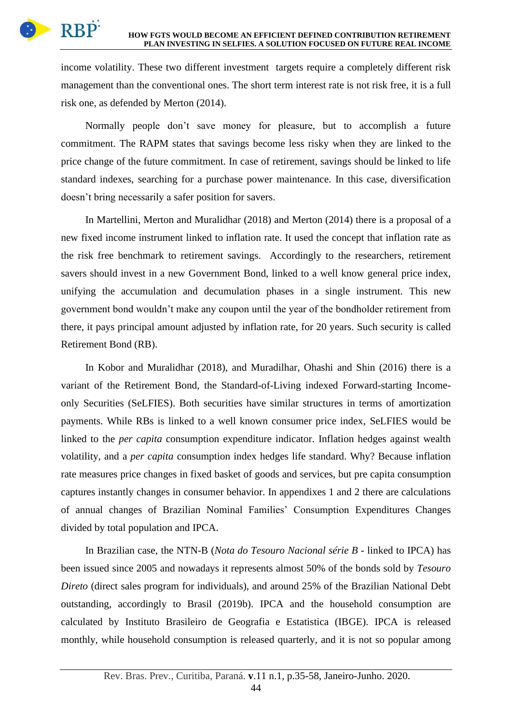

income volatility. These two different investment targets require a completely different risk management than the conventional ones. The short term interest rate is not risk free, it is a full risk one, as defended by Merton (2014).

Normally people don't save money for pleasure, but to accomplish a future commitment. The RAPM states that savings become less risky when they are linked to the price change of the future commitment. In case of retirement, savings should be linked to life standard indexes, searching for a purchase power maintenance. In this case, diversification doesn't bring necessarily a safer position for savers.

In Martellini, Merton and Muralidhar (2018) and Merton (2014) there is a proposal of a new fixed income instrument linked to inflation rate. It used the concept that inflation rate as the risk free benchmark to retirement savings. Accordingly to the researchers, retirement savers should invest in a new Government Bond, linked to a well know general price index, unifying the accumulation and decumulation phases in a single instrument. This new government bond wouldn't make any coupon until the year of the bondholder retirement from there, it pays principal amount adjusted by inflation rate, for 20 years. Such security is called Retirement Bond (RB).

In Kobor and Muralidhar (2018), and Muradilhar, Ohashi and Shin (2016) there is a variant of the Retirement Bond, the Standard-of-Living indexed Forward-starting Incomeonly Securities (SeLFIES). Both securities have similar structures in terms of amortization payments. While RBs is linked to a well known consumer price index, SeLFIES would be linked to the *per capita* consumption expenditure indicator. Inflation hedges against wealth volatility, and a *per capita* consumption index hedges life standard. Why? Because inflation rate measures price changes in fixed basket of goods and services, but pre capita consumption captures instantly changes in consumer behavior. In appendixes 1 and 2 there are calculations of annual changes of Brazilian Nominal Families' Consumption Expenditures Changes divided by total population and IPCA.

In Brazilian case, the NTN-B (*Nota do Tesouro Nacional série B* - linked to IPCA) has been issued since 2005 and nowadays it represents almost 50% of the bonds sold by *Tesouro Direto* (direct sales program for individuals), and around 25% of the Brazilian National Debt outstanding, accordingly to Brasil (2019b). IPCA and the household consumption are calculated by Instituto Brasileiro de Geografia e Estatistica (IBGE). IPCA is released monthly, while household consumption is released quarterly, and it is not so popular among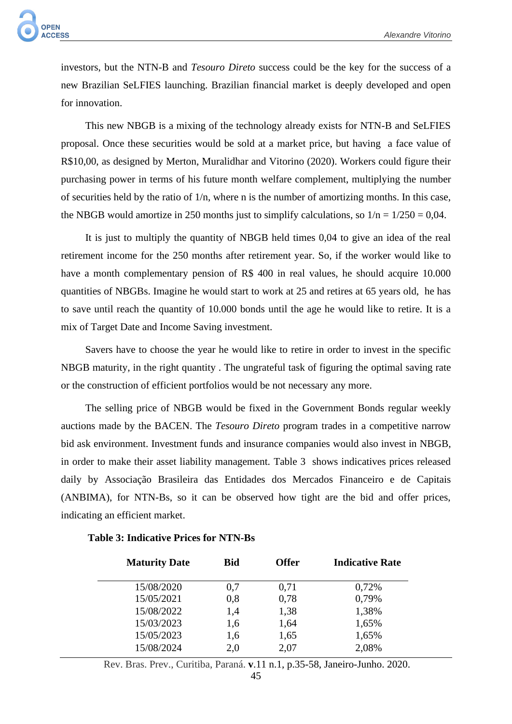investors, but the NTN-B and *Tesouro Direto* success could be the key for the success of a new Brazilian SeLFIES launching. Brazilian financial market is deeply developed and open for innovation.

This new NBGB is a mixing of the technology already exists for NTN-B and SeLFIES proposal. Once these securities would be sold at a market price, but having a face value of R\$10,00, as designed by Merton, Muralidhar and Vitorino (2020). Workers could figure their purchasing power in terms of his future month welfare complement, multiplying the number of securities held by the ratio of 1/n, where n is the number of amortizing months. In this case, the NBGB would amortize in 250 months just to simplify calculations, so  $1/n = 1/250 = 0.04$ .

It is just to multiply the quantity of NBGB held times 0,04 to give an idea of the real retirement income for the 250 months after retirement year. So, if the worker would like to have a month complementary pension of R\$ 400 in real values, he should acquire 10.000 quantities of NBGBs. Imagine he would start to work at 25 and retires at 65 years old, he has to save until reach the quantity of 10.000 bonds until the age he would like to retire. It is a mix of Target Date and Income Saving investment.

Savers have to choose the year he would like to retire in order to invest in the specific NBGB maturity, in the right quantity . The ungrateful task of figuring the optimal saving rate or the construction of efficient portfolios would be not necessary any more.

The selling price of NBGB would be fixed in the Government Bonds regular weekly auctions made by the BACEN. The *Tesouro Direto* program trades in a competitive narrow bid ask environment. Investment funds and insurance companies would also invest in NBGB, in order to make their asset liability management. Table 3 shows indicatives prices released daily by Associação Brasileira das Entidades dos Mercados Financeiro e de Capitais (ANBIMA), for NTN-Bs, so it can be observed how tight are the bid and offer prices, indicating an efficient market.

| <b>Maturity Date</b> | <b>Bid</b> | <b>Offer</b> | <b>Indicative Rate</b> |
|----------------------|------------|--------------|------------------------|
| 15/08/2020           | 0,7        | 0,71         | 0,72%                  |
| 15/05/2021           | 0,8        | 0,78         | 0,79%                  |
| 15/08/2022           | 1,4        | 1,38         | 1,38%                  |
| 15/03/2023           | 1,6        | 1,64         | 1,65%                  |
| 15/05/2023           | 1,6        | 1,65         | 1,65%                  |
| 15/08/2024           | 2,0        | 2,07         | 2,08%                  |

### **Table 3: Indicative Prices for NTN-Bs**

Rev. Bras. Prev., Curitiba, Paraná. **v**.11 n.1, p.35-58, Janeiro-Junho. 2020.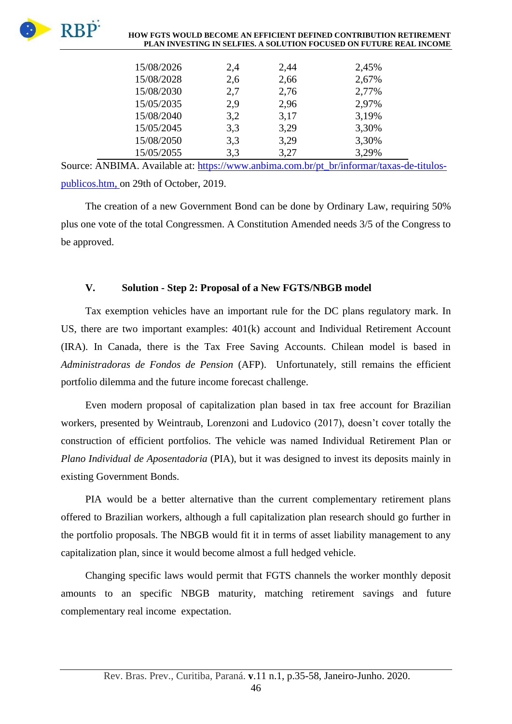

#### **HOW FGTS WOULD BECOME AN EFFICIENT DEFINED CONTRIBUTION RETIREMENT PLAN INVESTING IN SELFIES. A SOLUTION FOCUSED ON FUTURE REAL INCOME**

| 15/08/2026 | 2,4 | 2,44 | 2,45% |
|------------|-----|------|-------|
| 15/08/2028 | 2,6 | 2,66 | 2,67% |
| 15/08/2030 | 2,7 | 2,76 | 2,77% |
| 15/05/2035 | 2,9 | 2,96 | 2,97% |
| 15/08/2040 | 3,2 | 3,17 | 3,19% |
| 15/05/2045 | 3,3 | 3,29 | 3,30% |
| 15/08/2050 | 3,3 | 3,29 | 3,30% |
| 15/05/2055 | 3,3 | 3,27 | 3,29% |

Source: ANBIMA. Available at: [https://www.anbima.com.br/pt\\_br/informar/taxas-de-titulos](https://www.anbima.com.br/pt_br/informar/taxas-de-titulos-publicos.htm)[publicos.htm,](https://www.anbima.com.br/pt_br/informar/taxas-de-titulos-publicos.htm) on 29th of October, 2019.

The creation of a new Government Bond can be done by Ordinary Law, requiring 50% plus one vote of the total Congressmen. A Constitution Amended needs 3/5 of the Congress to be approved.

## **V. Solution - Step 2: Proposal of a New FGTS/NBGB model**

Tax exemption vehicles have an important rule for the DC plans regulatory mark. In US, there are two important examples: 401(k) account and Individual Retirement Account (IRA). In Canada, there is the Tax Free Saving Accounts. Chilean model is based in *Administradoras de Fondos de Pension* (AFP). Unfortunately, still remains the efficient portfolio dilemma and the future income forecast challenge.

Even modern proposal of capitalization plan based in tax free account for Brazilian workers, presented by Weintraub, Lorenzoni and Ludovico (2017), doesn't cover totally the construction of efficient portfolios. The vehicle was named Individual Retirement Plan or *Plano Individual de Aposentadoria* (PIA), but it was designed to invest its deposits mainly in existing Government Bonds.

PIA would be a better alternative than the current complementary retirement plans offered to Brazilian workers, although a full capitalization plan research should go further in the portfolio proposals. The NBGB would fit it in terms of asset liability management to any capitalization plan, since it would become almost a full hedged vehicle.

Changing specific laws would permit that FGTS channels the worker monthly deposit amounts to an specific NBGB maturity, matching retirement savings and future complementary real income expectation.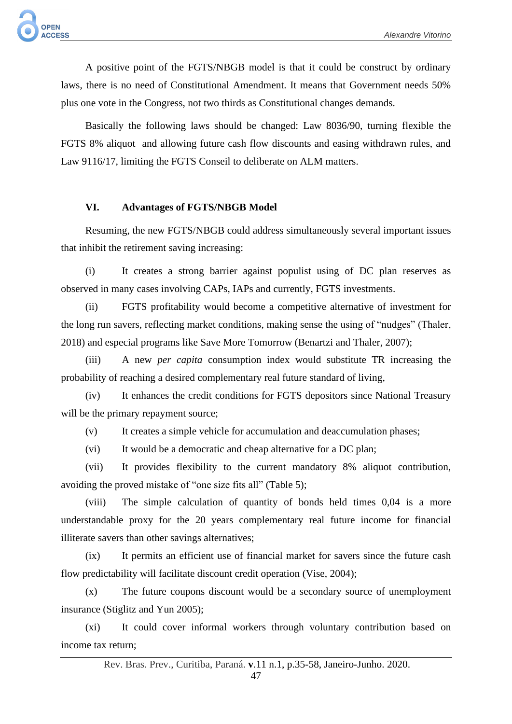A positive point of the FGTS/NBGB model is that it could be construct by ordinary laws, there is no need of Constitutional Amendment. It means that Government needs 50% plus one vote in the Congress, not two thirds as Constitutional changes demands.

Basically the following laws should be changed: Law 8036/90, turning flexible the FGTS 8% aliquot and allowing future cash flow discounts and easing withdrawn rules, and Law 9116/17, limiting the FGTS Conseil to deliberate on ALM matters.

# **VI. Advantages of FGTS/NBGB Model**

Resuming, the new FGTS/NBGB could address simultaneously several important issues that inhibit the retirement saving increasing:

(i) It creates a strong barrier against populist using of DC plan reserves as observed in many cases involving CAPs, IAPs and currently, FGTS investments.

(ii) FGTS profitability would become a competitive alternative of investment for the long run savers, reflecting market conditions, making sense the using of "nudges" (Thaler, 2018) and especial programs like Save More Tomorrow (Benartzi and Thaler, 2007);

(iii) A new *per capita* consumption index would substitute TR increasing the probability of reaching a desired complementary real future standard of living,

(iv) It enhances the credit conditions for FGTS depositors since National Treasury will be the primary repayment source;

(v) It creates a simple vehicle for accumulation and deaccumulation phases;

(vi) It would be a democratic and cheap alternative for a DC plan;

(vii) It provides flexibility to the current mandatory 8% aliquot contribution, avoiding the proved mistake of "one size fits all" (Table 5);

(viii) The simple calculation of quantity of bonds held times 0,04 is a more understandable proxy for the 20 years complementary real future income for financial illiterate savers than other savings alternatives;

(ix) It permits an efficient use of financial market for savers since the future cash flow predictability will facilitate discount credit operation (Vise, 2004);

(x) The future coupons discount would be a secondary source of unemployment insurance (Stiglitz and Yun 2005);

(xi) It could cover informal workers through voluntary contribution based on income tax return;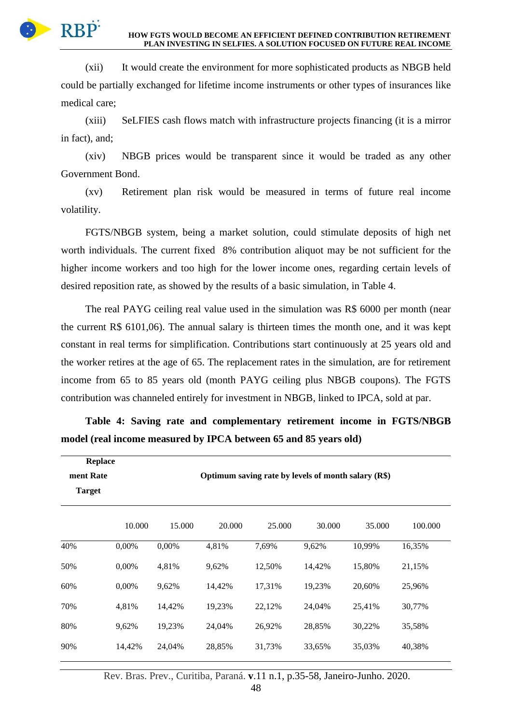

(xii) It would create the environment for more sophisticated products as NBGB held could be partially exchanged for lifetime income instruments or other types of insurances like medical care;

(xiii) SeLFIES cash flows match with infrastructure projects financing (it is a mirror in fact), and;

(xiv) NBGB prices would be transparent since it would be traded as any other Government Bond.

(xv) Retirement plan risk would be measured in terms of future real income volatility.

FGTS/NBGB system, being a market solution, could stimulate deposits of high net worth individuals. The current fixed 8% contribution aliquot may be not sufficient for the higher income workers and too high for the lower income ones, regarding certain levels of desired reposition rate, as showed by the results of a basic simulation, in Table 4.

The real PAYG ceiling real value used in the simulation was R\$ 6000 per month (near the current R\$ 6101,06). The annual salary is thirteen times the month one, and it was kept constant in real terms for simplification. Contributions start continuously at 25 years old and the worker retires at the age of 65. The replacement rates in the simulation, are for retirement income from 65 to 85 years old (month PAYG ceiling plus NBGB coupons). The FGTS contribution was channeled entirely for investment in NBGB, linked to IPCA, sold at par.

| <b>Replace</b> |        |        |                                                     |        |        |        |         |
|----------------|--------|--------|-----------------------------------------------------|--------|--------|--------|---------|
| ment Rate      |        |        | Optimum saving rate by levels of month salary (R\$) |        |        |        |         |
| <b>Target</b>  |        |        |                                                     |        |        |        |         |
|                | 10.000 | 15.000 | 20.000                                              | 25.000 | 30.000 | 35.000 | 100.000 |
| 40%            | 0,00%  | 0,00%  | 4,81%                                               | 7,69%  | 9,62%  | 10,99% | 16,35%  |
| 50%            | 0,00%  | 4,81%  | 9,62%                                               | 12,50% | 14,42% | 15,80% | 21,15%  |
| 60%            | 0,00%  | 9,62%  | 14,42%                                              | 17,31% | 19,23% | 20,60% | 25,96%  |
| 70%            | 4,81%  | 14,42% | 19,23%                                              | 22,12% | 24,04% | 25,41% | 30,77%  |
| 80%            | 9,62%  | 19,23% | 24,04%                                              | 26,92% | 28,85% | 30,22% | 35,58%  |
| 90%            | 14,42% | 24,04% | 28,85%                                              | 31,73% | 33,65% | 35,03% | 40,38%  |

**Table 4: Saving rate and complementary retirement income in FGTS/NBGB model (real income measured by IPCA between 65 and 85 years old)**

Rev. Bras. Prev., Curitiba, Paraná. **v**.11 n.1, p.35-58, Janeiro-Junho. 2020.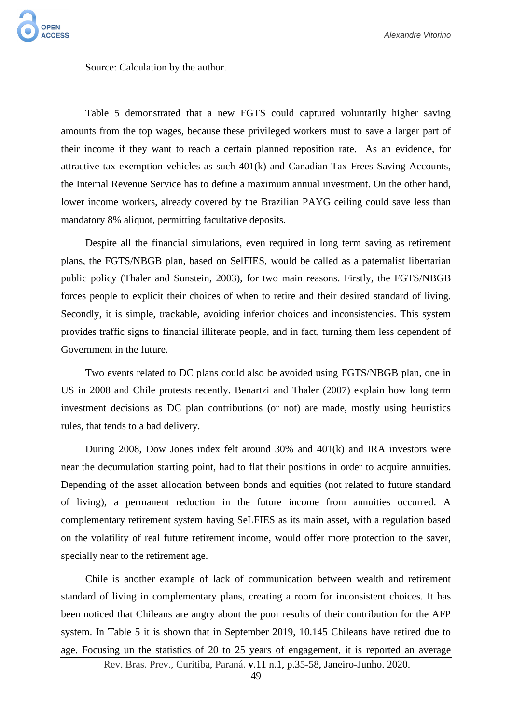Source: Calculation by the author.

Table 5 demonstrated that a new FGTS could captured voluntarily higher saving amounts from the top wages, because these privileged workers must to save a larger part of their income if they want to reach a certain planned reposition rate. As an evidence, for attractive tax exemption vehicles as such 401(k) and Canadian Tax Frees Saving Accounts, the Internal Revenue Service has to define a maximum annual investment. On the other hand, lower income workers, already covered by the Brazilian PAYG ceiling could save less than mandatory 8% aliquot, permitting facultative deposits.

Despite all the financial simulations, even required in long term saving as retirement plans, the FGTS/NBGB plan, based on SelFIES, would be called as a paternalist libertarian public policy (Thaler and Sunstein, 2003), for two main reasons. Firstly, the FGTS/NBGB forces people to explicit their choices of when to retire and their desired standard of living. Secondly, it is simple, trackable, avoiding inferior choices and inconsistencies. This system provides traffic signs to financial illiterate people, and in fact, turning them less dependent of Government in the future.

Two events related to DC plans could also be avoided using FGTS/NBGB plan, one in US in 2008 and Chile protests recently. Benartzi and Thaler (2007) explain how long term investment decisions as DC plan contributions (or not) are made, mostly using heuristics rules, that tends to a bad delivery.

During 2008, Dow Jones index felt around 30% and 401(k) and IRA investors were near the decumulation starting point, had to flat their positions in order to acquire annuities. Depending of the asset allocation between bonds and equities (not related to future standard of living), a permanent reduction in the future income from annuities occurred. A complementary retirement system having SeLFIES as its main asset, with a regulation based on the volatility of real future retirement income, would offer more protection to the saver, specially near to the retirement age.

Chile is another example of lack of communication between wealth and retirement standard of living in complementary plans, creating a room for inconsistent choices. It has been noticed that Chileans are angry about the poor results of their contribution for the AFP system. In Table 5 it is shown that in September 2019, 10.145 Chileans have retired due to age. Focusing un the statistics of 20 to 25 years of engagement, it is reported an average

Rev. Bras. Prev., Curitiba, Paraná. **v**.11 n.1, p.35-58, Janeiro-Junho. 2020.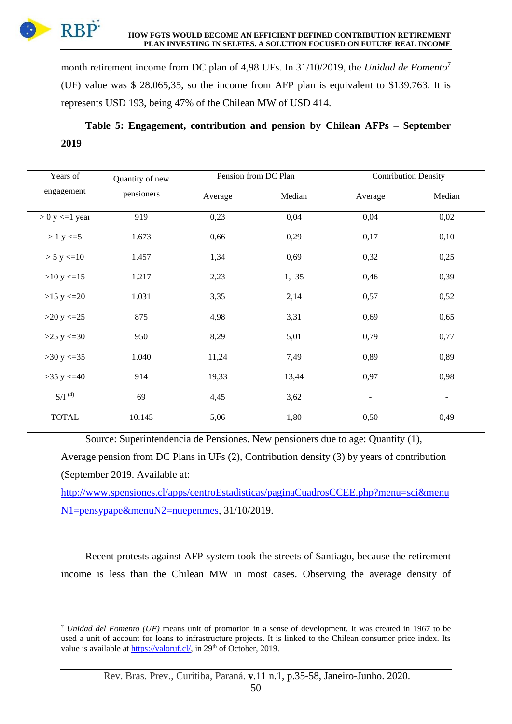RBP<sup>:</sup> **HOW FGTS WOULD BECOME AN EFFICIENT DEFINED CONTRIBUTION RETIREMENT PLAN INVESTING IN SELFIES. A SOLUTION FOCUSED ON FUTURE REAL INCOME**

month retirement income from DC plan of 4,98 UFs. In 31/10/2019, the *Unidad de Fomento*<sup>7</sup> (UF) value was \$ 28.065,35, so the income from AFP plan is equivalent to \$139.763. It is represents USD 193, being 47% of the Chilean MW of USD 414.

**Table 5: Engagement, contribution and pension by Chilean AFPs – September 2019**

| Years of              | Quantity of new |         | Pension from DC Plan |                          | <b>Contribution Density</b> |
|-----------------------|-----------------|---------|----------------------|--------------------------|-----------------------------|
| engagement            | pensioners      | Average | Median               | Average                  | Median                      |
| $> 0$ y $\leq 1$ year | 919             | 0,23    | 0,04                 | 0,04                     | 0,02                        |
| $> 1$ y $\le$ = 5     | 1.673           | 0,66    | 0,29                 | 0,17                     | 0,10                        |
| > 5 y < 10            | 1.457           | 1,34    | 0,69                 | 0,32                     | 0,25                        |
| >10 y < 15            | 1.217           | 2,23    | 1, 35                | 0,46                     | 0,39                        |
| $>15$ y $\leq$ 20     | 1.031           | 3,35    | 2,14                 | 0,57                     | 0,52                        |
| $>20$ y $\leq$ 25     | 875             | 4,98    | 3,31                 | 0,69                     | 0,65                        |
| $>25$ y $\leq 30$     | 950             | 8,29    | 5,01                 | 0,79                     | 0,77                        |
| >30 y < 35            | 1.040           | 11,24   | 7,49                 | 0,89                     | 0,89                        |
| $>35$ y $\leq 40$     | 914             | 19,33   | 13,44                | 0,97                     | 0,98                        |
| $S/I^{(4)}$           | 69              | 4,45    | 3,62                 | $\overline{\phantom{a}}$ | $\overline{\phantom{a}}$    |
| <b>TOTAL</b>          | 10.145          | 5,06    | 1,80                 | 0,50                     | 0,49                        |

Source: Superintendencia de Pensiones. New pensioners due to age: Quantity (1),

Average pension from DC Plans in UFs (2), Contribution density (3) by years of contribution (September 2019. Available at:

[http://www.spensiones.cl/apps/centroEstadisticas/paginaCuadrosCCEE.php?menu=sci&menu](http://www.spensiones.cl/apps/centroEstadisticas/paginaCuadrosCCEE.php?menu=sci&menuN1=pensypape&menuN2=nuepenmes) [N1=pensypape&menuN2=nuepenmes,](http://www.spensiones.cl/apps/centroEstadisticas/paginaCuadrosCCEE.php?menu=sci&menuN1=pensypape&menuN2=nuepenmes) 31/10/2019.

Recent protests against AFP system took the streets of Santiago, because the retirement income is less than the Chilean MW in most cases. Observing the average density of

<sup>7</sup> *Unidad del Fomento (UF)* means unit of promotion in a sense of development. It was created in 1967 to be used a unit of account for loans to infrastructure projects. It is linked to the Chilean consumer price index. Its value is available a[t https://valoruf.cl/,](https://valoruf.cl/) in 29<sup>th</sup> of October, 2019.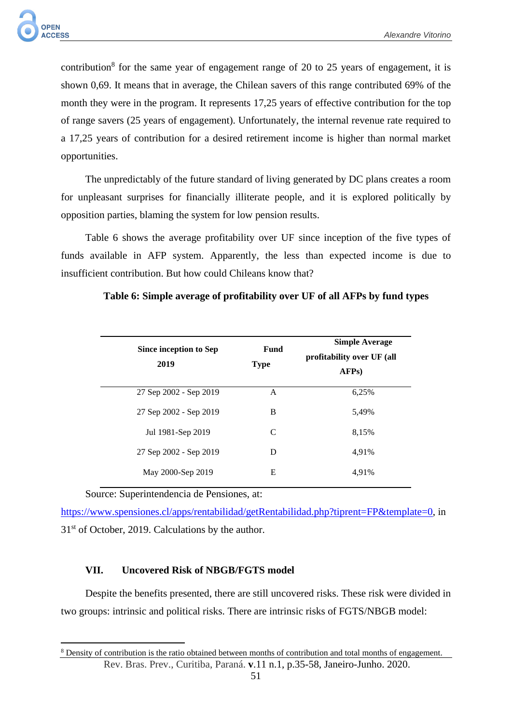

contribution<sup>8</sup> for the same year of engagement range of 20 to 25 years of engagement, it is shown 0,69. It means that in average, the Chilean savers of this range contributed 69% of the month they were in the program. It represents 17,25 years of effective contribution for the top of range savers (25 years of engagement). Unfortunately, the internal revenue rate required to a 17,25 years of contribution for a desired retirement income is higher than normal market opportunities.

The unpredictably of the future standard of living generated by DC plans creates a room for unpleasant surprises for financially illiterate people, and it is explored politically by opposition parties, blaming the system for low pension results.

Table 6 shows the average profitability over UF since inception of the five types of funds available in AFP system. Apparently, the less than expected income is due to insufficient contribution. But how could Chileans know that?

| Since inception to Sep<br>2019 | Fund<br><b>Type</b> | <b>Simple Average</b><br>profitability over UF (all<br>AFP <sub>s</sub> ) |
|--------------------------------|---------------------|---------------------------------------------------------------------------|
| 27 Sep 2002 - Sep 2019         | A                   | 6,25%                                                                     |
| 27 Sep 2002 - Sep 2019         | B                   | 5.49%                                                                     |
| Jul 1981-Sep 2019              | C                   | 8,15%                                                                     |
| 27 Sep 2002 - Sep 2019         | D                   | 4.91%                                                                     |
| May 2000-Sep 2019              | Е                   | 4.91%                                                                     |

## **Table 6: Simple average of profitability over UF of all AFPs by fund types**

Source: Superintendencia de Pensiones, at:

[https://www.spensiones.cl/apps/rentabilidad/getRentabilidad.php?tiprent=FP&template=0,](https://www.spensiones.cl/apps/rentabilidad/getRentabilidad.php?tiprent=FP&template=0) in  $31<sup>st</sup>$  of October, 2019. Calculations by the author.

# **VII. Uncovered Risk of NBGB/FGTS model**

Despite the benefits presented, there are still uncovered risks. These risk were divided in two groups: intrinsic and political risks. There are intrinsic risks of FGTS/NBGB model:

Rev. Bras. Prev., Curitiba, Paraná. **v**.11 n.1, p.35-58, Janeiro-Junho. 2020. <sup>8</sup> Density of contribution is the ratio obtained between months of contribution and total months of engagement.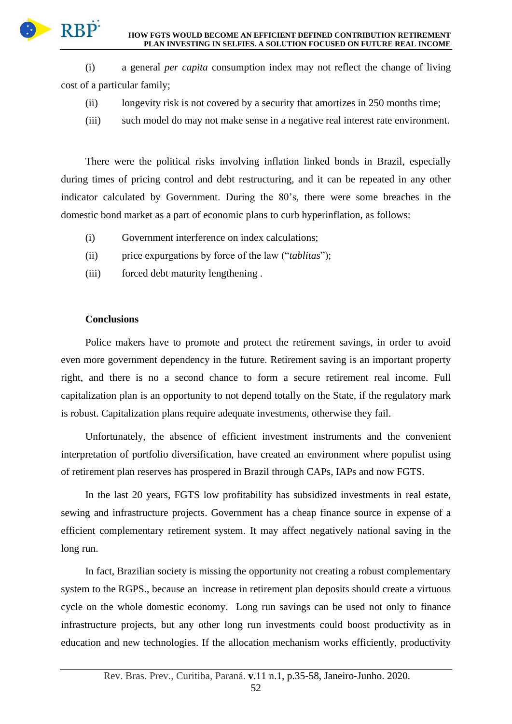

(i) a general *per capita* consumption index may not reflect the change of living cost of a particular family;

- (ii) longevity risk is not covered by a security that amortizes in 250 months time;
- (iii) such model do may not make sense in a negative real interest rate environment.

There were the political risks involving inflation linked bonds in Brazil, especially during times of pricing control and debt restructuring, and it can be repeated in any other indicator calculated by Government. During the 80's, there were some breaches in the domestic bond market as a part of economic plans to curb hyperinflation, as follows:

- (i) Government interference on index calculations;
- (ii) price expurgations by force of the law ("*tablitas*");
- (iii) forced debt maturity lengthening .

# **Conclusions**

Police makers have to promote and protect the retirement savings, in order to avoid even more government dependency in the future. Retirement saving is an important property right, and there is no a second chance to form a secure retirement real income. Full capitalization plan is an opportunity to not depend totally on the State, if the regulatory mark is robust. Capitalization plans require adequate investments, otherwise they fail.

Unfortunately, the absence of efficient investment instruments and the convenient interpretation of portfolio diversification, have created an environment where populist using of retirement plan reserves has prospered in Brazil through CAPs, IAPs and now FGTS.

In the last 20 years, FGTS low profitability has subsidized investments in real estate, sewing and infrastructure projects. Government has a cheap finance source in expense of a efficient complementary retirement system. It may affect negatively national saving in the long run.

In fact, Brazilian society is missing the opportunity not creating a robust complementary system to the RGPS., because an increase in retirement plan deposits should create a virtuous cycle on the whole domestic economy. Long run savings can be used not only to finance infrastructure projects, but any other long run investments could boost productivity as in education and new technologies. If the allocation mechanism works efficiently, productivity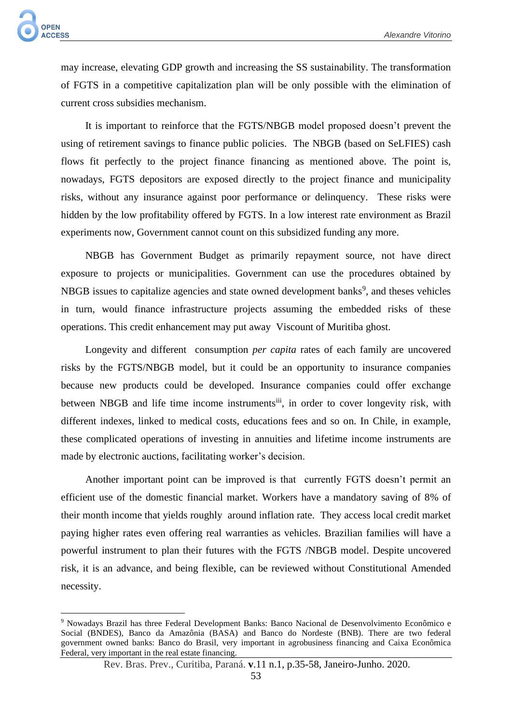may increase, elevating GDP growth and increasing the SS sustainability. The transformation of FGTS in a competitive capitalization plan will be only possible with the elimination of current cross subsidies mechanism.

It is important to reinforce that the FGTS/NBGB model proposed doesn't prevent the using of retirement savings to finance public policies. The NBGB (based on SeLFIES) cash flows fit perfectly to the project finance financing as mentioned above. The point is, nowadays, FGTS depositors are exposed directly to the project finance and municipality risks, without any insurance against poor performance or delinquency. These risks were hidden by the low profitability offered by FGTS. In a low interest rate environment as Brazil experiments now, Government cannot count on this subsidized funding any more.

NBGB has Government Budget as primarily repayment source, not have direct exposure to projects or municipalities. Government can use the procedures obtained by NBGB issues to capitalize agencies and state owned development banks<sup>9</sup>, and theses vehicles in turn, would finance infrastructure projects assuming the embedded risks of these operations. This credit enhancement may put away Viscount of Muritiba ghost.

Longevity and different consumption *per capita* rates of each family are uncovered risks by the FGTS/NBGB model, but it could be an opportunity to insurance companies because new products could be developed. Insurance companies could offer exchange between NBGB and life time income instruments<sup>iii</sup>, in order to cover longevity risk, with different indexes, linked to medical costs, educations fees and so on. In Chile, in example, these complicated operations of investing in annuities and lifetime income instruments are made by electronic auctions, facilitating worker's decision.

Another important point can be improved is that currently FGTS doesn't permit an efficient use of the domestic financial market. Workers have a mandatory saving of 8% of their month income that yields roughly around inflation rate. They access local credit market paying higher rates even offering real warranties as vehicles. Brazilian families will have a powerful instrument to plan their futures with the FGTS /NBGB model. Despite uncovered risk, it is an advance, and being flexible, can be reviewed without Constitutional Amended necessity.

<sup>9</sup> Nowadays Brazil has three Federal Development Banks: Banco Nacional de Desenvolvimento Econômico e Social (BNDES), Banco da Amazônia (BASA) and Banco do Nordeste (BNB). There are two federal government owned banks: Banco do Brasil, very important in agrobusiness financing and Caixa Econômica Federal, very important in the real estate financing.

Rev. Bras. Prev., Curitiba, Paraná. **v**.11 n.1, p.35-58, Janeiro-Junho. 2020.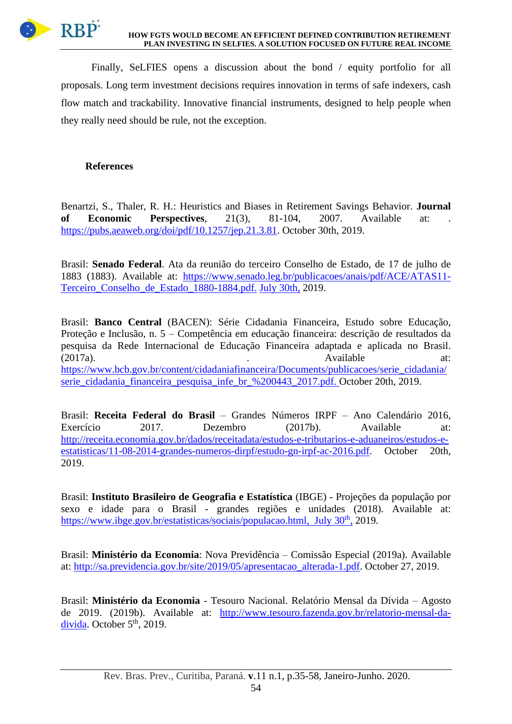

Finally, SeLFIES opens a discussion about the bond / equity portfolio for all proposals. Long term investment decisions requires innovation in terms of safe indexers, cash flow match and trackability. Innovative financial instruments, designed to help people when they really need should be rule, not the exception.

# **References**

Benartzi, S., Thaler, R. H.: Heuristics and Biases in Retirement Savings Behavior. **Journal of Economic Perspectives**, 21(3), 81-104, 2007. Available at: [https://pubs.aeaweb.org/doi/pdf/10.1257/jep.21.3.81.](https://pubs.aeaweb.org/doi/pdf/10.1257/jep.21.3.81) October 30th, 2019.

Brasil: **Senado Federal**. Ata da reunião do terceiro Conselho de Estado, de 17 de julho de 1883 (1883). Available at: [https://www.senado.leg.br/publicacoes/anais/pdf/ACE/ATAS11-](https://www.senado.leg.br/publicacoes/anais/pdf/ACE/ATAS11-Terceiro_Conselho_de_Estado_1880-1884.pdf) [Terceiro\\_Conselho\\_de\\_Estado\\_1880-1884.pdf.](https://www.senado.leg.br/publicacoes/anais/pdf/ACE/ATAS11-Terceiro_Conselho_de_Estado_1880-1884.pdf) July 30th, 2019.

Brasil: **Banco Central** (BACEN): Série Cidadania Financeira, Estudo sobre Educação, Proteção e Inclusão, n. 5 – Competência em educação financeira: descrição de resultados da pesquisa da Rede Internacional de Educação Financeira adaptada e aplicada no Brasil. (2017a). **a** at: **Available** at: [https://www.bcb.gov.br/content/cidadaniafinanceira/Documents/publicacoes/serie\\_cidadania/](https://www.bcb.gov.br/content/cidadaniafinanceira/Documents/publicacoes/serie_cidadania/serie_cidadania_financeira_pesquisa_infe_br_%200443_2017.pdf) [serie\\_cidadania\\_financeira\\_pesquisa\\_infe\\_br\\_%200443\\_2017.pdf.](https://www.bcb.gov.br/content/cidadaniafinanceira/Documents/publicacoes/serie_cidadania/serie_cidadania_financeira_pesquisa_infe_br_%200443_2017.pdf) October 20th, 2019.

Brasil: **Receita Federal do Brasil** – Grandes Números IRPF – Ano Calendário 2016, Exercício 2017. Dezembro (2017b). Available at: [http://receita.economia.gov.br/dados/receitadata/estudos-e-tributarios-e-aduaneiros/estudos-e](http://receita.economia.gov.br/dados/receitadata/estudos-e-tributarios-e-aduaneiros/estudos-e-estatisticas/11-08-2014-grandes-numeros-dirpf/estudo-gn-irpf-ac-2016.pdf)[estatisticas/11-08-2014-grandes-numeros-dirpf/estudo-gn-irpf-ac-2016.pdf.](http://receita.economia.gov.br/dados/receitadata/estudos-e-tributarios-e-aduaneiros/estudos-e-estatisticas/11-08-2014-grandes-numeros-dirpf/estudo-gn-irpf-ac-2016.pdf) October 20th, 2019.

Brasil: **Instituto Brasileiro de Geografia e Estatística** (IBGE) - Projeções da população por sexo e idade para o Brasil - grandes regiões e unidades (2018). Available at: [https://www.ibge.gov.br/estatisticas/sociais/populacao.html,](https://www.ibge.gov.br/estatisticas/sociais/populacao.html) July 30<sup>th</sup>, 2019.

Brasil: **Ministério da Economia**: Nova Previdência – Comissão Especial (2019a). Available at: [http://sa.previdencia.gov.br/site/2019/05/apresentacao\\_alterada-1.pdf.](http://sa.previdencia.gov.br/site/2019/05/apresentacao_alterada-1.pdf) October 27, 2019.

Brasil: **Ministério da Economia** - Tesouro Nacional. Relatório Mensal da Dívida – Agosto de 2019. (2019b). Available at: [http://www.tesouro.fazenda.gov.br/relatorio-mensal-da](http://www.tesouro.fazenda.gov.br/relatorio-mensal-da-divida)[divida.](http://www.tesouro.fazenda.gov.br/relatorio-mensal-da-divida) October  $5<sup>th</sup>$ , 2019.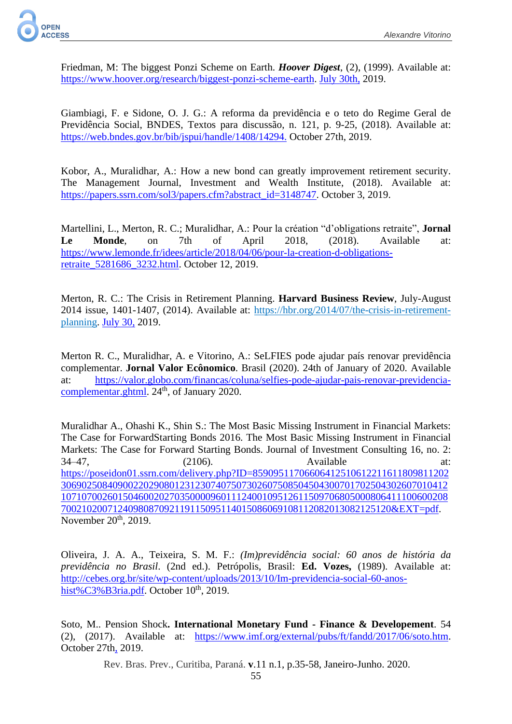

Friedman, M: The biggest Ponzi Scheme on Earth. *Hoover Digest*, (2), (1999). Available at: [https://www.hoover.org/research/biggest-ponzi-scheme-earth.](https://www.hoover.org/research/biggest-ponzi-scheme-earth) July 30th, 2019.

Giambiagi, F. e Sidone, O. J. G.: A reforma da previdência e o teto do Regime Geral de Previdência Social, BNDES, Textos para discussão, n. 121, p. 9-25, (2018). Available at: [https://web.bndes.gov.br/bib/jspui/handle/1408/14294.](https://web.bndes.gov.br/bib/jspui/handle/1408/14294) October 27th, 2019.

Kobor, A., Muralidhar, A.: How a new bond can greatly improvement retirement security. The Management Journal, Investment and Wealth Institute, (2018). Available at: [https://papers.ssrn.com/sol3/papers.cfm?abstract\\_id=3148747.](https://papers.ssrn.com/sol3/papers.cfm?abstract_id=3148747) October 3, 2019.

Martellini, L., Merton, R. C.; Muralidhar, A.: Pour la création "d'obligations retraite", **Jornal Le Monde**, on 7th of April 2018, (2018). Available at: [https://www.lemonde.fr/idees/article/2018/04/06/pour-la-creation-d-obligations](https://www.lemonde.fr/idees/article/2018/04/06/pour-la-creation-d-obligations-retraite_5281686_3232.html)[retraite\\_5281686\\_3232.html.](https://www.lemonde.fr/idees/article/2018/04/06/pour-la-creation-d-obligations-retraite_5281686_3232.html) October 12, 2019.

Merton, R. C.: The Crisis in Retirement Planning. **Harvard Business Review**, July-August 2014 issue, 1401-1407, (2014). Available at: [https://hbr.org/2014/07/the-crisis-in-retirement](https://eur01.safelinks.protection.outlook.com/?url=https%3A%2F%2Fhbr.org%2F2014%2F07%2Fthe-crisis-in-retirement-planning&data=02%7C01%7C%7C55d2cd415cd045586f9008d714ee8640%7C84df9e7fe9f640afb435aaaaaaaaaaaa%7C1%7C0%7C637000886997006313&sdata=baHq9wRM0bgC5OzNAnS4mozTqJqhNqx4UCjwGiPZO6g%3D&reserved=0)[planning.](https://eur01.safelinks.protection.outlook.com/?url=https%3A%2F%2Fhbr.org%2F2014%2F07%2Fthe-crisis-in-retirement-planning&data=02%7C01%7C%7C55d2cd415cd045586f9008d714ee8640%7C84df9e7fe9f640afb435aaaaaaaaaaaa%7C1%7C0%7C637000886997006313&sdata=baHq9wRM0bgC5OzNAnS4mozTqJqhNqx4UCjwGiPZO6g%3D&reserved=0) July 30, 2019.

Merton R. C., Muralidhar, A. e Vitorino, A.: SeLFIES pode ajudar país renovar previdência complementar. **Jornal Valor Ecônomico**. Brasil (2020). 24th of January of 2020. Available at: [https://valor.globo.com/financas/coluna/selfies-pode-ajudar-pais-renovar-previdencia](https://valor.globo.com/financas/coluna/selfies-pode-ajudar-pais-renovar-previdencia-complementar.ghtml)[complementar.ghtml.](https://valor.globo.com/financas/coluna/selfies-pode-ajudar-pais-renovar-previdencia-complementar.ghtml) 24<sup>th</sup>, of January 2020.

Muralidhar A., Ohashi K., Shin S.: The Most Basic Missing Instrument in Financial Markets: The Case for ForwardStarting Bonds 2016. The Most Basic Missing Instrument in Financial Markets: The Case for Forward Starting Bonds. Journal of Investment Consulting 16, no. 2: 34–47, (2106). Available at: [https://poseidon01.ssrn.com/delivery.php?ID=85909511706606412510612211611809811202](https://poseidon01.ssrn.com/delivery.php?ID=859095117066064125106122116118098112023069025084090022029080123123074075073026075085045043007017025043026070104121071070026015046002027035000096011124001095126115097068050008064111006002087002102007124098087092119115095114015086069108112082013082125120&EXT=pdf) [306902508409002202908012312307407507302607508504504300701702504302607010412](https://poseidon01.ssrn.com/delivery.php?ID=859095117066064125106122116118098112023069025084090022029080123123074075073026075085045043007017025043026070104121071070026015046002027035000096011124001095126115097068050008064111006002087002102007124098087092119115095114015086069108112082013082125120&EXT=pdf) [107107002601504600202703500009601112400109512611509706805000806411100600208](https://poseidon01.ssrn.com/delivery.php?ID=859095117066064125106122116118098112023069025084090022029080123123074075073026075085045043007017025043026070104121071070026015046002027035000096011124001095126115097068050008064111006002087002102007124098087092119115095114015086069108112082013082125120&EXT=pdf) [7002102007124098087092119115095114015086069108112082013082125120&EXT=pdf.](https://poseidon01.ssrn.com/delivery.php?ID=859095117066064125106122116118098112023069025084090022029080123123074075073026075085045043007017025043026070104121071070026015046002027035000096011124001095126115097068050008064111006002087002102007124098087092119115095114015086069108112082013082125120&EXT=pdf) November  $20<sup>th</sup>$ , 2019.

Oliveira, J. A. A., Teixeira, S. M. F.: *(Im)previdência social: 60 anos de história da previdência no Brasil*. (2nd ed.). Petrópolis, Brasil: **Ed. Vozes,** (1989). Available at: [http://cebes.org.br/site/wp-content/uploads/2013/10/Im-previdencia-social-60-anos](http://cebes.org.br/site/wp-content/uploads/2013/10/Im-previdencia-social-60-anos-hist%C3%B3ria.pdf)[hist%C3%B3ria.pdf.](http://cebes.org.br/site/wp-content/uploads/2013/10/Im-previdencia-social-60-anos-hist%C3%B3ria.pdf) October  $10<sup>th</sup>$ , 2019.

Soto, M.. Pension Shock**. International Monetary Fund - Finance & Developement**. 54 (2), (2017). Available at: [https://www.imf.org/external/pubs/ft/fandd/2017/06/soto.htm.](https://www.imf.org/external/pubs/ft/fandd/2017/06/soto.htm) October 27th, 2019.

Rev. Bras. Prev., Curitiba, Paraná. **v**.11 n.1, p.35-58, Janeiro-Junho. 2020.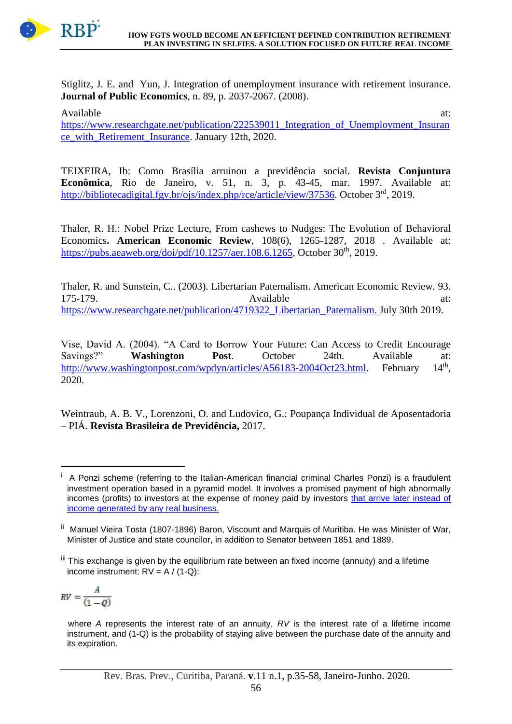

Stiglitz, J. E. and Yun, J. Integration of unemployment insurance with retirement insurance. **Journal of Public Economics**, n. 89, p. 2037-2067. (2008).

Available at:  $\overline{a}$  at: [https://www.researchgate.net/publication/222539011\\_Integration\\_of\\_Unemployment\\_Insuran](https://www.researchgate.net/publication/222539011_Integration_of_Unemployment_Insurance_with_Retirement_Insurance) [ce\\_with\\_Retirement\\_Insurance.](https://www.researchgate.net/publication/222539011_Integration_of_Unemployment_Insurance_with_Retirement_Insurance) January 12th, 2020.

TEIXEIRA, Ib: Como Brasília arruinou a previdência social. **Revista Conjuntura Econômica**, Rio de Janeiro, v. 51, n. 3, p. 43-45, mar. 1997. Available at: [http://bibliotecadigital.fgv.br/ojs/index.php/rce/article/view/37536.](http://bibliotecadigital.fgv.br/ojs/index.php/rce/article/view/37536) October 3<sup>rd</sup>, 2019.

Thaler, R. H.: Nobel Prize Lecture, From cashews to Nudges: The Evolution of Behavioral Economics**. American Economic Review**, 108(6), 1265-1287, 2018 . Available at: [https://pubs.aeaweb.org/doi/pdf/10.1257/aer.108.6.1265,](https://pubs.aeaweb.org/doi/pdf/10.1257/aer.108.6.1265) October 30<sup>th</sup>, 2019.

Thaler, R. and Sunstein, C.. (2003). Libertarian Paternalism. American Economic Review. 93. 175-179. **Available** at: [https://www.researchgate.net/publication/4719322\\_Libertarian\\_Paternalism.](https://www.researchgate.net/publication/4719322_Libertarian_Paternalism) July 30th 2019.

Vise, David A. (2004). "A Card to Borrow Your Future: Can Access to Credit Encourage Savings?" **Washington Post**. October 24th. Available at: [http://www.washingtonpost.com/wpdyn/articles/A56183-2004Oct23.html.](http://www.washingtonpost.com/wpdyn/articles/A56183-2004Oct23.html) February  $14<sup>th</sup>$ . 2020.

Weintraub, A. B. V., Lorenzoni, O. and Ludovico, G.: Poupança Individual de Aposentadoria – PIÁ. **Revista Brasileira de Previdência,** 2017.

$$
RV = \frac{A}{(1 - Q)}
$$

<sup>&</sup>lt;sup>i</sup> A Ponzi scheme (referring to the Italian-American financial criminal Charles Ponzi) is a fraudulent investment operation based in a pyramid model. It involves a promised payment of high abnormally incomes (profits) to investors at the expense of money paid by investors that arrive later instead of income generated by any real business.

<sup>&</sup>lt;sup>ii</sup> Manuel Vieira Tosta (1807-1896) Baron, Viscount and Marquis of Muritiba. He was Minister of War, Minister of Justice and state councilor, in addition to Senator between 1851 and 1889.

iii This exchange is given by the equilibrium rate between an fixed income (annuity) and a lifetime income instrument:  $RV = A / (1-Q)$ :

where *A* represents the interest rate of an annuity, *RV* is the interest rate of a lifetime income instrument, and (1-Q) is the probability of staying alive between the purchase date of the annuity and its expiration.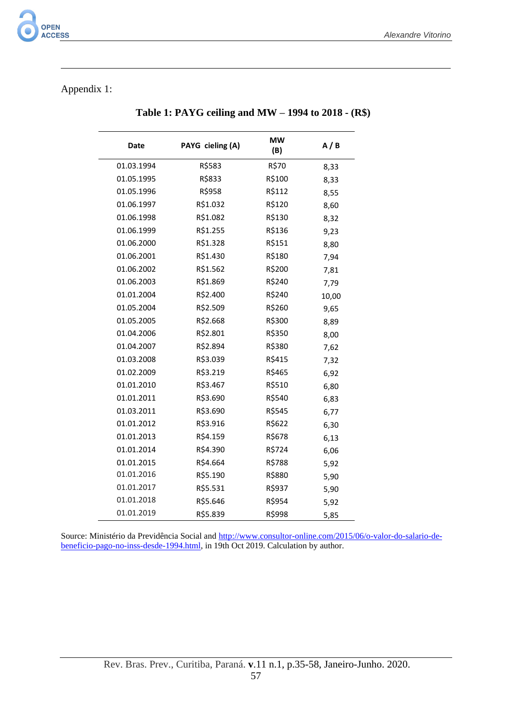# Appendix 1:

 $\overline{\phantom{a}}$ 

| Date       | PAYG cieling (A) | <b>MW</b><br>(B) | A/B   |
|------------|------------------|------------------|-------|
| 01.03.1994 | R\$583           | R\$70            | 8,33  |
| 01.05.1995 | R\$833           | R\$100           | 8,33  |
| 01.05.1996 | R\$958           | R\$112           | 8,55  |
| 01.06.1997 | R\$1.032         | R\$120           | 8,60  |
| 01.06.1998 | R\$1.082         | R\$130           | 8,32  |
| 01.06.1999 | R\$1.255         | R\$136           | 9,23  |
| 01.06.2000 | R\$1.328         | R\$151           | 8,80  |
| 01.06.2001 | R\$1.430         | R\$180           | 7,94  |
| 01.06.2002 | R\$1.562         | R\$200           | 7,81  |
| 01.06.2003 | R\$1.869         | R\$240           | 7,79  |
| 01.01.2004 | R\$2.400         | R\$240           | 10,00 |
| 01.05.2004 | R\$2.509         | R\$260           | 9,65  |
| 01.05.2005 | R\$2.668         | R\$300           | 8,89  |
| 01.04.2006 | R\$2.801         | R\$350           | 8,00  |
| 01.04.2007 | R\$2.894         | R\$380           | 7,62  |
| 01.03.2008 | R\$3.039         | R\$415           | 7,32  |
| 01.02.2009 | R\$3.219         | R\$465           | 6,92  |
| 01.01.2010 | R\$3.467         | R\$510           | 6,80  |
| 01.01.2011 | R\$3.690         | R\$540           | 6,83  |
| 01.03.2011 | R\$3.690         | R\$545           | 6,77  |
| 01.01.2012 | R\$3.916         | R\$622           | 6,30  |
| 01.01.2013 | R\$4.159         | R\$678           | 6,13  |
| 01.01.2014 | R\$4.390         | R\$724           | 6,06  |
| 01.01.2015 | R\$4.664         | R\$788           | 5,92  |
| 01.01.2016 | R\$5.190         | R\$880           | 5,90  |
| 01.01.2017 | R\$5.531         | R\$937           | 5,90  |
| 01.01.2018 | R\$5.646         | R\$954           | 5,92  |
| 01.01.2019 | R\$5.839         | R\$998           | 5,85  |

 **Table 1: PAYG ceiling and MW – 1994 to 2018 - (R\$)**

Source: Ministério da Previdência Social and [http://www.consultor-online.com/2015/06/o-valor-do-salario-de](http://www.consultor-online.com/2015/06/o-valor-do-salario-de-beneficio-pago-no-inss-desde-1994.html)[beneficio-pago-no-inss-desde-1994.html,](http://www.consultor-online.com/2015/06/o-valor-do-salario-de-beneficio-pago-no-inss-desde-1994.html) in 19th Oct 2019. Calculation by author.